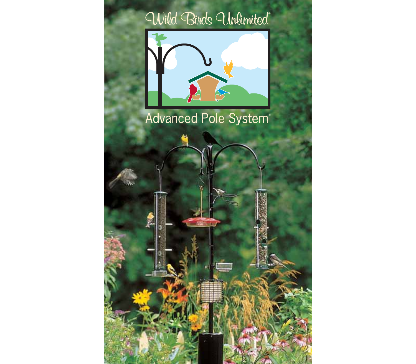# Wild Birds Unlimited®



# Advanced Pole System®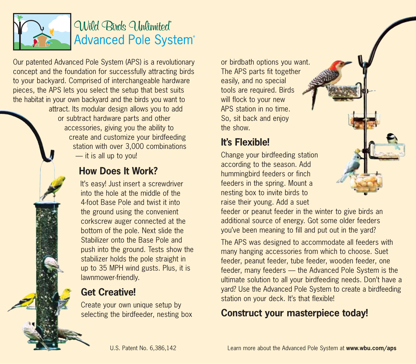

# Wild Birds Unlimited® **Advanced Pole System®**

Our patented Advanced Pole System (APS) is a revolutionary concept and the foundation for successfully attracting birds to your backyard. Comprised of interchangeable hardware pieces, the APS lets you select the setup that best suits the habitat in your own backyard and the birds you want to attract. Its modular design allows you to add or subtract hardware parts and other accessories, giving you the ability to create and customize your birdfeeding station with over 3,000 combinations — it is all up to you! How Does It Work? It's easy! Just insert a screwdriver into the hole at the middle of the 4-foot Base Pole and twist it into the ground using the convenient corkscrew auger connected at the bottom of the pole. Next slide the Stabilizer onto the Base Pole and push into the ground. Tests show the stabilizer holds the pole straight in up to 35 MPH wind gusts. Plus, it is lawnmower-friendly.

### Get Creative!

Create your own unique setup by selecting the birdfeeder, nesting box

or birdbath options you want. The APS parts fit together easily, and no special tools are required. Birds will flock to your new APS station in no time. So, sit back and enjoy the show.

### It's Flexible!

Change your birdfeeding station according to the season. Add hummingbird feeders or finch feeders in the spring. Mount a nesting box to invite birds to raise their young. Add a suet

feeder or peanut feeder in the winter to give birds an additional source of energy. Got some older feeders you've been meaning to fill and put out in the yard?

The APS was designed to accommodate all feeders with many hanging accessories from which to choose. Suet feeder, peanut feeder, tube feeder, wooden feeder, one feeder, many feeders — the Advanced Pole System is the ultimate solution to all your birdfeeding needs. Don't have a yard? Use the Advanced Pole System to create a birdfeeding station on your deck. It's that flexible!

### Construct your masterpiece today!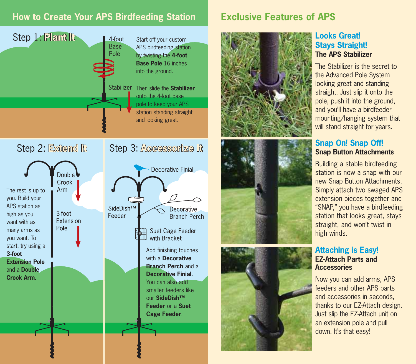### **How to Create Your APS Birdfeeding Station**



Double Crook Arm The rest is up to you. Build your APS station as 3-foot high as you Feeder **Fxtension** want with as Pole many arms as you want. To start, try using a 3-foot Extension Pole and a Double Crook Arm.

Step 2: Externd R

# Step 3: Accesson<sub>74</sub> R



You can also add smaller feeders like our SideDish™ Feeder or a Suet Cage Feeder .

### Exclusive Features of APS







#### Looks Great! Stays Straight! The APS Stabilizer

The Stabilizer is the secret to the Advanced Pole System looking great and standing straight. Just slip it onto the pole, push it into the ground, and you'll have a birdfeeder mounting/hanging system that will stand straight for years.

#### Snap On! Snap Off! Snap Button Attachments

Building a stable birdfeeding station is now a snap with our new Snap Button Attachments. Simply attach two swaged APS extension pieces together and "SNAP," you have a birdfeeding station that looks great, stays straight, and won't twist in high winds.

#### Attaching is Easy! EZ-Attach Parts and **Accessories**

Now you can add arms, APS feeders and other APS parts and accessories in seconds, thanks to our EZ-Attach design. Just slip the EZ-Attach unit on an extension pole and pull down. It's that easy!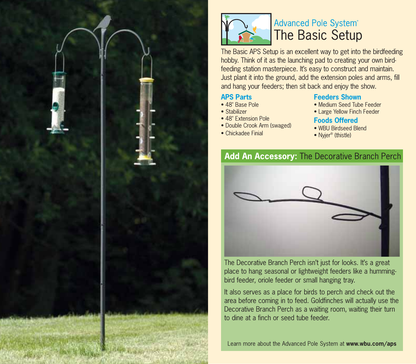



### **Advanced Pole System® The Basic Setup**

The Basic APS Setup is an excellent way to get into the birdfeeding hobby. Think of it as the launching pad to creating your own birdfeeding station masterpiece. It's easy to construct and maintain. Just plant it into the ground, add the extension poles and arms, fill and hang your feeders; then sit back and enjoy the show.

#### APS Parts

- 48" Base Pole
- Stabilizer
- 48" Extension Pole
- Double Crook Arm (swaged)
- Chickadee Finial

#### Feeders Shown

- Medium Seed Tube Feeder
- Large Yellow Finch Feeder

#### Foods Offered

- WBU Birdseed Blend
- Nyjer<sup>®</sup> (thistle)

### Add An Accessory: The Decorative Branch Perch



The Decorative Branch Perch isn't just for looks. It's a great place to hang seasonal or lightweight feeders like a hummingbird feeder, oriole feeder or small hanging tray.

It also serves as a place for birds to perch and check out the area before coming in to feed. Goldfinches will actually use the Decorative Branch Perch as a waiting room, waiting their turn to dine at a finch or seed tube feeder.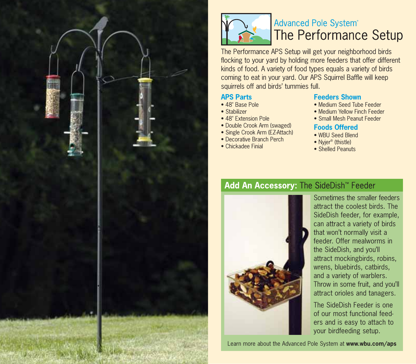



# **Advanced Pole System® The Performance Setup**

The Performance APS Setup will get your neighborhood birds flocking to your yard by holding more feeders that offer different kinds of food. A variety of food types equals a variety of birds coming to eat in your yard. Our APS Squirrel Baffle will keep squirrels off and birds' tummies full.

#### APS Parts

- 48" Base Pole
- Stabilizer
- 48" Extension Pole
- Double Crook Arm (swaged)
- Single Crook Arm (EZ-Attach)
- Decorative Branch Perch
- Chickadee Finial

#### Feeders Shown

- Medium Seed Tube Feeder
- Medium Yellow Finch Feeder
- Small Mesh Peanut Feeder

#### Foods Offered

- WBU Seed Blend
- Nvier<sup>®</sup> (thistle)
- Shelled Peanuts

### Add An Accessory: The SideDish<sup>™</sup> Feeder



Sometimes the smaller feeders attract the coolest birds. The SideDish feeder, for example, can attract a variety of birds that won't normally visit a feeder. Offer mealworms in the SideDish, and you'll attract mockingbirds, robins, wrens, bluebirds, catbirds, and a variety of warblers. Throw in some fruit, and you'll attract orioles and tanagers.

The SideDish Feeder is one of our most functional feeders and is easy to attach to your birdfeeding setup.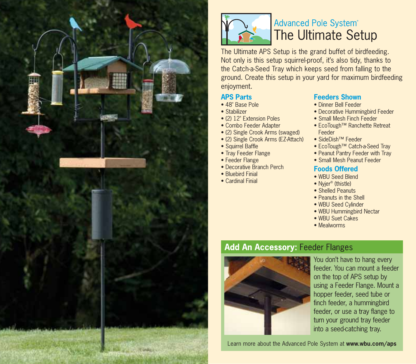

**Riview** 



### **Advanced Pole System®** The Ultimate Setup

The Ultimate APS Setup is the grand buffet of birdfeeding. Not only is this setup squirrel-proof, it's also tidy, thanks to the Catch-a-Seed Tray which keeps seed from falling to the ground. Create this setup in your yard for maximum birdfeeding enjoyment.

#### APS Parts

- 48" Base Pole
- Stabilizer
- (2) 12" Extension Poles
- Combo Feeder Adapter
- (2) Single Crook Arms (swaged)
- (2) Single Crook Arms (EZ-Attach)
- Squirrel Baffle
- Tray Feeder Flange
- Feeder Flange
- Decorative Branch Perch
- Bluebird Finial
- Cardinal Finial

#### Feeders Shown

- Dinner Bell Feeder
- Decorative Hummingbird Feeder
- Small Mesh Finch Feeder
- EcoTough™ Ranchette Retreat Feeder
- SideDish™ Feeder
- EcoTough™ Catch-a-Seed Tray
- Peanut Pantry Feeder with Tray
- Small Mesh Peanut Feeder

#### Foods Offered

- WBU Seed Blend
- Nvier<sup>®</sup> (thistle)
- Shelled Peanuts
- Peanuts in the Shell
- WBU Seed Cylinder
- WBU Hummingbird Nectar
- WBU Suet Cakes
- Mealworms

### **Add An Accessory: Feeder Flanges**



You don't have to hang every feeder. You can mount a feeder on the top of APS setup by using a Feeder Flange. Mount a hopper feeder, seed tube or finch feeder, a hummingbird feeder, or use a tray flange to turn your ground tray feeder into a seed-catching tray.

- 
- 
- 
-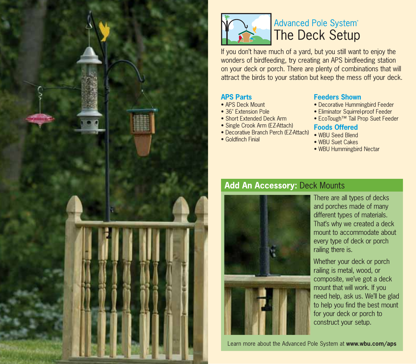



### **Advanced Pole System® The Deck Setup**

If you don't have much of a yard, but you still want to enjoy the wonders of birdfeeding, try creating an APS birdfeeding station on your deck or porch. There are plenty of combinations that will attract the birds to your station but keep the mess off your deck.

#### APS Parts

- APS Deck Mount
- 36" Extension Pole
- Short Extended Deck Arm
- Single Crook Arm (EZ-Attach)
- Decorative Branch Perch (EZ-Attach)
- Goldfinch Finial

#### Feeders Shown

- Decorative Hummingbird Feeder
- Eliminator Squirrel-proof Feeder
- EcoTough™ Tail Prop Suet Feeder

#### Foods Offered

- WBU Seed Blend
- WBU Suet Cakes
- WBU Hummingbird Nectar

### **Add An Accessory: Deck Mounts**



There are all types of decks and porches made of many different types of materials. That's why we created a deck mount to accommodate about every type of deck or porch railing there is.

Whether your deck or porch railing is metal, wood, or composite, we've got a deck mount that will work. If you need help, ask us. We'll be glad to help you find the best mount for your deck or porch to construct your setup.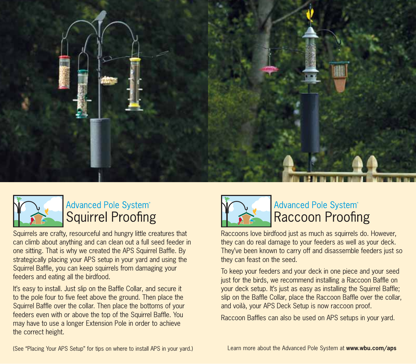



# Advanced Pole System® **Squirrel Proofing**

Squirrels are crafty, resourceful and hungry little creatures that can climb about anything and can clean out a full seed feeder in one sitting. That is why we created the APS Squirrel Baffle. By strategically placing your APS setup in your yard and using the Squirrel Baffle, you can keep squirrels from damaging your feeders and eating all the birdfood.

It's easy to install. Just slip on the Baffle Collar, and secure it to the pole four to five feet above the ground. Then place the Squirrel Baffle over the collar. Then place the bottoms of your feeders even with or above the top of the Squirrel Baffle. You may have to use a longer Extension Pole in order to achieve the correct height.



### Advanced Pole System® **Raccoon Proofing**

Raccoons love birdfood just as much as squirrels do. However, they can do real damage to your feeders as well as your deck. They've been known to carry off and disassemble feeders just so they can feast on the seed.

To keep your feeders and your deck in one piece and your seed just for the birds, we recommend installing a Raccoon Baffle on your deck setup. It's just as easy as installing the Squirrel Baffle; slip on the Baffle Collar, place the Raccoon Baffle over the collar, and voilà, your APS Deck Setup is now raccoon proof.

Raccoon Baffles can also be used on APS setups in your yard.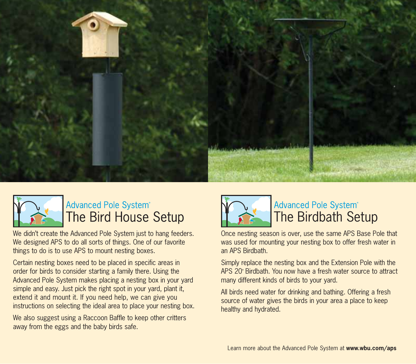



# Advanced Pole System® **The Bird House Setup**

We didn't create the Advanced Pole System just to hang feeders. We designed APS to do all sorts of things. One of our favorite things to do is to use APS to mount nesting boxes.

Certain nesting boxes need to be placed in specific areas in order for birds to consider starting a family there. Using the Advanced Pole System makes placing a nesting box in your yard simple and easy. Just pick the right spot in your yard, plant it, extend it and mount it. If you need help, we can give you instructions on selecting the ideal area to place your nesting box.

We also suggest using a Raccoon Baffle to keep other critters away from the eggs and the baby birds safe.



# Advanced Pole System<sup>®</sup><br>The Birdbath Setup

Once nesting season is over, use the same APS Base Pole that was used for mounting your nesting box to offer fresh water in an APS Birdbath.

Simply replace the nesting box and the Extension Pole with the APS 20" Birdbath. You now have a fresh water source to attract many different kinds of birds to your yard.

All birds need water for drinking and bathing. Offering a fresh source of water gives the birds in your area a place to keep healthy and hydrated.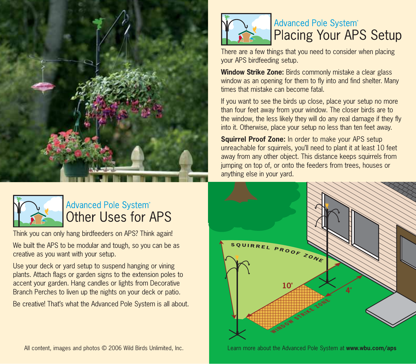



# **Advanced Pole System® Other Uses for APS**

Think you can only hang birdfeeders on APS? Think again!

We built the APS to be modular and tough, so you can be as creative as you want with your setup.

Use your deck or yard setup to suspend hanging or vining plants. Attach flags or garden signs to the extension poles to accent your garden. Hang candles or lights from Decorative Branch Perches to liven up the nights on your deck or patio.

Be creative! That's what the Advanced Pole System is all about.







# **Advanced Pole System® Placing Your APS Setup**

There are a few things that you need to consider when placing your APS birdfeeding setup.

Window Strike Zone: Birds commonly mistake a clear glass window as an opening for them to fly into and find shelter. Many times that mistake can become fatal.

If you want to see the birds up close, place your setup no more than four feet away from your window. The closer birds are to the window, the less likely they will do any real damage if they fly into it. Otherwise, place your setup no less than ten feet away.

Squirrel Proof Zone: In order to make your APS setup unreachable for squirrels, you'll need to plant it at least 10 feet away from any other object. This distance keeps squirrels from jumping on top of, or onto the feeders from trees, houses or anything else in your yard.



Learn more about the Advanced Pole System at www.wbu.com/aps